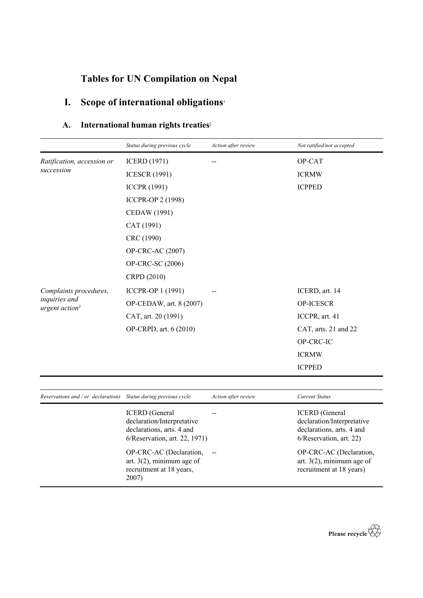# **Tables for UN Compilation on Nepal**

# **I. Scope of international obligations**<sup>1</sup>

## **A. International human rights treaties**<sup>2</sup>

|                                                                 | Status during previous cycle                                                                                                                 | Action after review      | Not ratified/not accepted                                                                                                              |
|-----------------------------------------------------------------|----------------------------------------------------------------------------------------------------------------------------------------------|--------------------------|----------------------------------------------------------------------------------------------------------------------------------------|
| Ratification, accession or                                      | <b>ICERD</b> (1971)                                                                                                                          |                          | OP-CAT                                                                                                                                 |
| succession                                                      | <b>ICESCR (1991)</b>                                                                                                                         |                          | <b>ICRMW</b>                                                                                                                           |
|                                                                 | <b>ICCPR (1991)</b>                                                                                                                          |                          | <b>ICPPED</b>                                                                                                                          |
|                                                                 | <b>ICCPR-OP 2 (1998)</b>                                                                                                                     |                          |                                                                                                                                        |
|                                                                 | CEDAW (1991)                                                                                                                                 |                          |                                                                                                                                        |
|                                                                 | CAT (1991)                                                                                                                                   |                          |                                                                                                                                        |
|                                                                 | CRC (1990)                                                                                                                                   |                          |                                                                                                                                        |
|                                                                 | OP-CRC-AC (2007)                                                                                                                             |                          |                                                                                                                                        |
|                                                                 | OP-CRC-SC (2006)                                                                                                                             |                          |                                                                                                                                        |
|                                                                 | CRPD (2010)                                                                                                                                  |                          |                                                                                                                                        |
| Complaints procedures,                                          | ICCPR-OP 1 (1991)                                                                                                                            |                          | ICERD, art. 14                                                                                                                         |
| inquiries and                                                   | OP-CEDAW, art. 8 (2007)                                                                                                                      |                          | OP-ICESCR                                                                                                                              |
| urgent action <sup>3</sup>                                      | CAT, art. 20 (1991)                                                                                                                          |                          | ICCPR, art. 41                                                                                                                         |
|                                                                 | OP-CRPD, art. 6 (2010)                                                                                                                       |                          | CAT, arts. 21 and 22                                                                                                                   |
|                                                                 |                                                                                                                                              |                          | OP-CRC-IC                                                                                                                              |
|                                                                 |                                                                                                                                              |                          | <b>ICRMW</b>                                                                                                                           |
|                                                                 |                                                                                                                                              |                          | <b>ICPPED</b>                                                                                                                          |
|                                                                 |                                                                                                                                              |                          |                                                                                                                                        |
| Reservations and / or declarations Status during previous cycle |                                                                                                                                              | Action after review      | <b>Current Status</b>                                                                                                                  |
|                                                                 | <b>ICERD</b> (General<br>declaration/Interpretative<br>declarations, arts. 4 and<br>6/Reservation, art. 22, 1971)<br>OP-CRC-AC (Declaration, | $\overline{\phantom{m}}$ | <b>ICERD</b> (General<br>declaration/Interpretative<br>declarations, arts. 4 and<br>6/Reservation, art. 22)<br>OP-CRC-AC (Declaration, |
|                                                                 | art. $3(2)$ , minimum age of<br>recruitment at 18 years,<br>2007)                                                                            |                          | art. $3(2)$ , minimum age of<br>recruitment at 18 years)                                                                               |

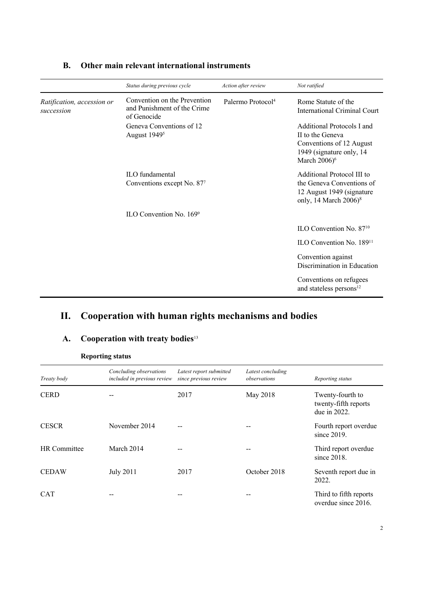|                                          | Status during previous cycle                                               | Action after review           | Not ratified                                                                                                                         |
|------------------------------------------|----------------------------------------------------------------------------|-------------------------------|--------------------------------------------------------------------------------------------------------------------------------------|
| Ratification, accession or<br>succession | Convention on the Prevention<br>and Punishment of the Crime<br>of Genocide | Palermo Protocol <sup>4</sup> | Rome Statute of the<br>International Criminal Court                                                                                  |
|                                          | Geneva Conventions of 12<br>August 1949 <sup>5</sup>                       |                               | Additional Protocols I and<br>II to the Geneva<br>Conventions of 12 August<br>1949 (signature only, 14)<br>March $2006$ <sup>6</sup> |
|                                          | ILO fundamental<br>Conventions except No. 877                              |                               | Additional Protocol III to<br>the Geneva Conventions of<br>12 August 1949 (signature<br>only, 14 March $2006$ <sup>8</sup>           |
|                                          | ILO Convention No. 1699                                                    |                               |                                                                                                                                      |
|                                          |                                                                            |                               | ILO Convention No. 87 <sup>10</sup>                                                                                                  |
|                                          |                                                                            |                               | ILO Convention No. 189 <sup>11</sup>                                                                                                 |
|                                          |                                                                            |                               | Convention against<br>Discrimination in Education                                                                                    |
|                                          |                                                                            |                               | Conventions on refugees<br>and stateless persons <sup>12</sup>                                                                       |

### **B. Other main relevant international instruments**

## **II. Cooperation with human rights mechanisms and bodies**

#### **A. Cooperation with treaty bodies**<sup>13</sup>

| Treaty body  | Concluding observations<br>included in previous review | Latest report submitted<br>since previous review | Latest concluding<br>observations | Reporting status                                         |
|--------------|--------------------------------------------------------|--------------------------------------------------|-----------------------------------|----------------------------------------------------------|
| <b>CERD</b>  |                                                        | 2017                                             | May 2018                          | Twenty-fourth to<br>twenty-fifth reports<br>due in 2022. |
| <b>CESCR</b> | November 2014                                          |                                                  |                                   | Fourth report overdue<br>since $2019$ .                  |
| HR Committee | March 2014                                             | --                                               | --                                | Third report overdue<br>since $2018$ .                   |
| <b>CEDAW</b> | <b>July 2011</b>                                       | 2017                                             | October 2018                      | Seventh report due in<br>2022.                           |
| <b>CAT</b>   |                                                        | $- -$                                            | --                                | Third to fifth reports<br>overdue since 2016.            |

#### **Reporting status**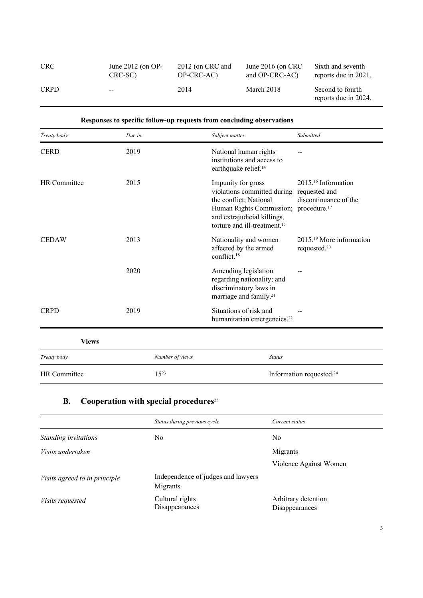| CRC         | June $2012$ (on OP- | $2012$ (on CRC and | June $2016$ (on CRC | Sixth and seventh                        |
|-------------|---------------------|--------------------|---------------------|------------------------------------------|
|             | CRC-SC)             | OP-CRC-AC)         | and OP-CRC-AC)      | reports due in 2021.                     |
| <b>CRPD</b> | $- -$               | 2014               | March 2018          | Second to fourth<br>reports due in 2024. |

| Responses to specific follow-up requests from concluding observations |                 |                                                                                                                                                                                                                           |                                                          |
|-----------------------------------------------------------------------|-----------------|---------------------------------------------------------------------------------------------------------------------------------------------------------------------------------------------------------------------------|----------------------------------------------------------|
| Treaty body                                                           | Due in          | Subject matter                                                                                                                                                                                                            | Submitted                                                |
| <b>CERD</b>                                                           | 2019            | National human rights<br>institutions and access to<br>earthquake relief. <sup>14</sup>                                                                                                                                   |                                                          |
| <b>HR</b> Committee                                                   | 2015            | Impunity for gross<br>violations committed during requested and<br>the conflict; National<br>Human Rights Commission; procedure. <sup>17</sup><br>and extrajudicial killings,<br>torture and ill-treatment. <sup>15</sup> | 2015. <sup>16</sup> Information<br>discontinuance of the |
| <b>CEDAW</b>                                                          | 2013            | Nationality and women<br>affected by the armed<br>conflict. <sup>18</sup>                                                                                                                                                 | $201519$ More information<br>requested. <sup>20</sup>    |
|                                                                       | 2020            | Amending legislation<br>regarding nationality; and<br>discriminatory laws in<br>marriage and family. <sup>21</sup>                                                                                                        |                                                          |
| <b>CRPD</b>                                                           | 2019            | Situations of risk and<br>humanitarian emergencies. <sup>22</sup>                                                                                                                                                         |                                                          |
| <b>Views</b>                                                          |                 |                                                                                                                                                                                                                           |                                                          |
| Treaty body                                                           | Number of views | <b>Status</b>                                                                                                                                                                                                             |                                                          |
| HR Committee                                                          | $15^{23}$       |                                                                                                                                                                                                                           | Information requested. <sup>24</sup>                     |

## **B. Cooperation with special procedures**<sup>25</sup>

|                               | Status during previous cycle                   | Current status                        |
|-------------------------------|------------------------------------------------|---------------------------------------|
| Standing invitations          | No                                             | No                                    |
| Visits undertaken             |                                                | Migrants                              |
|                               |                                                | Violence Against Women                |
| Visits agreed to in principle | Independence of judges and lawyers<br>Migrants |                                       |
| Visits requested              | Cultural rights<br>Disappearances              | Arbitrary detention<br>Disappearances |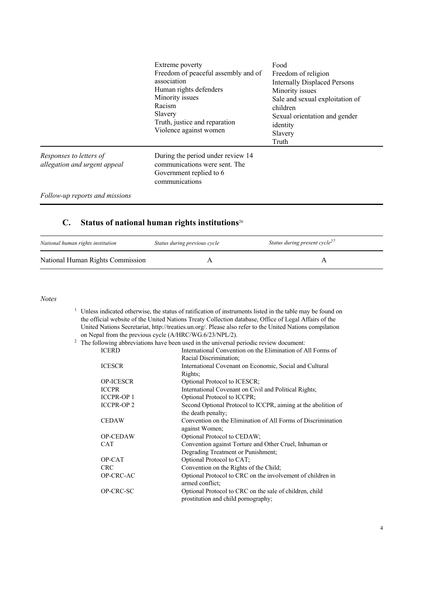|                                                         | Extreme poverty<br>Freedom of peaceful assembly and of<br>association<br>Human rights defenders<br>Minority issues<br>Racism<br>Slavery<br>Truth, justice and reparation<br>Violence against women | Food<br>Freedom of religion<br><b>Internally Displaced Persons</b><br>Minority issues<br>Sale and sexual exploitation of<br>children<br>Sexual orientation and gender<br>identity<br>Slavery<br>Truth |
|---------------------------------------------------------|----------------------------------------------------------------------------------------------------------------------------------------------------------------------------------------------------|-------------------------------------------------------------------------------------------------------------------------------------------------------------------------------------------------------|
| Responses to letters of<br>allegation and urgent appeal | During the period under review 14<br>communications were sent. The<br>Government replied to 6<br>communications                                                                                    |                                                                                                                                                                                                       |
| Follow-up reports and missions                          |                                                                                                                                                                                                    |                                                                                                                                                                                                       |

#### **C. Status of national human rights institutions**<sup>26</sup>

| National human rights institution | Status during previous cycle | Status during present cycle <sup>2/</sup> |
|-----------------------------------|------------------------------|-------------------------------------------|
| National Human Rights Commission  |                              |                                           |

*Notes*

<sup>1</sup> Unless indicated otherwise, the status of ratification of instruments listed in the table may be found on the official website of the United Nations Treaty Collection database, Office of Legal Affairs of the United Nations Secretariat, http://treaties.un.org/. Please also refer to the United Nations compilation on Nepal from the previous cycle (A/HRC/WG.6/23/NPL/2).<br><sup>2</sup> The following abbreviations have been used in the universal p

|                  | The following abbreviations have been used in the universal periodic review document: |
|------------------|---------------------------------------------------------------------------------------|
| <b>ICERD</b>     | International Convention on the Elimination of All Forms of                           |
|                  | Racial Discrimination;                                                                |
| <b>ICESCR</b>    | International Covenant on Economic, Social and Cultural                               |
|                  | Rights;                                                                               |
| <b>OP-ICESCR</b> | Optional Protocol to ICESCR;                                                          |
| <b>ICCPR</b>     | International Covenant on Civil and Political Rights;                                 |
| <b>ICCPR-OP1</b> | Optional Protocol to ICCPR;                                                           |
| <b>ICCPR-OP2</b> | Second Optional Protocol to ICCPR, aiming at the abolition of                         |
|                  | the death penalty;                                                                    |
| <b>CEDAW</b>     | Convention on the Elimination of All Forms of Discrimination                          |
|                  | against Women;                                                                        |
| <b>OP-CEDAW</b>  | Optional Protocol to CEDAW;                                                           |
| <b>CAT</b>       | Convention against Torture and Other Cruel, Inhuman or                                |
|                  | Degrading Treatment or Punishment;                                                    |
| OP-CAT           | Optional Protocol to CAT;                                                             |
| <b>CRC</b>       | Convention on the Rights of the Child;                                                |
| OP-CRC-AC        | Optional Protocol to CRC on the involvement of children in                            |
|                  | armed conflict;                                                                       |
| OP-CRC-SC        | Optional Protocol to CRC on the sale of children, child                               |
|                  | prostitution and child pornography;                                                   |
|                  |                                                                                       |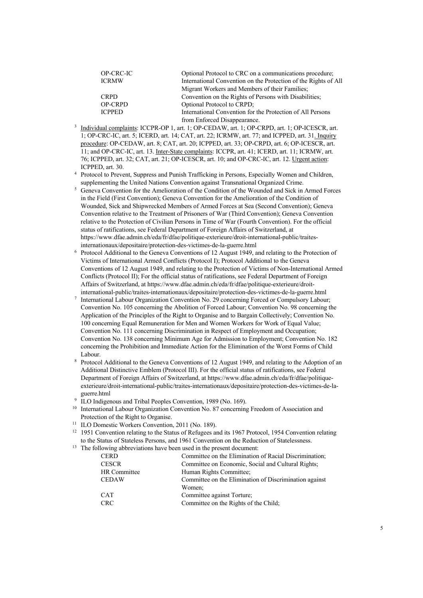| OP-CRC-IC      | Optional Protocol to CRC on a communications procedure;         |
|----------------|-----------------------------------------------------------------|
| <b>ICRMW</b>   | International Convention on the Protection of the Rights of All |
|                | Migrant Workers and Members of their Families;                  |
| <b>CRPD</b>    | Convention on the Rights of Persons with Disabilities;          |
| <b>OP-CRPD</b> | Optional Protocol to CRPD;                                      |
| <b>ICPPED</b>  | International Convention for the Protection of All Persons      |
|                | from Enforced Disappearance.                                    |

- <sup>3</sup> Individual complaints: ICCPR-OP 1, art. 1; OP-CEDAW, art. 1; OP-CRPD, art. 1; OP-ICESCR, art. 1; OP-CRC-IC, art. 5; ICERD, art. 14; CAT, art. 22; ICRMW, art. 77; and ICPPED, art. 31. Inquiry procedure: OP-CEDAW, art. 8; CAT, art. 20; ICPPED, art. 33; OP-CRPD, art. 6; OP-ICESCR, art. 11; and OP-CRC-IC, art. 13. Inter-State complaints: ICCPR, art. 41; ICERD, art. 11; ICRMW, art. 76; ICPPED, art. 32; CAT, art. 21; OP-ICESCR, art. 10; and OP-CRC-IC, art. 12. Urgent action: ICPPED, art. 30.
- <sup>4</sup> Protocol to Prevent, Suppress and Punish Trafficking in Persons, Especially Women and Children, supplementing the United Nations Convention against Transnational Organized Crime.
- <sup>5</sup> Geneva Convention for the Amelioration of the Condition of the Wounded and Sick in Armed Forces in the Field (First Convention); Geneva Convention for the Amelioration of the Condition of Wounded, Sick and Shipwrecked Members of Armed Forces at Sea (Second Convention); Geneva Convention relative to the Treatment of Prisoners of War (Third Convention); Geneva Convention relative to the Protection of Civilian Persons in Time of War (Fourth Convention). For the official status of ratifications, see Federal Department of Foreign Affairs of Switzerland, at https://www.dfae.admin.ch/eda/fr/dfae/politique-exterieure/droit-international-public/traitesinternationaux/depositaire/protection-des-victimes-de-la-guerre.html
- <sup>6</sup> Protocol Additional to the Geneva Conventions of 12 August 1949, and relating to the Protection of Victims of International Armed Conflicts (Protocol I); Protocol Additional to the Geneva Conventions of 12 August 1949, and relating to the Protection of Victims of Non-International Armed Conflicts (Protocol II); For the official status of ratifications, see Federal Department of Foreign Affairs of Switzerland, at https://www.dfae.admin.ch/eda/fr/dfae/politique-exterieure/droitinternational-public/traites-internationaux/depositaire/protection-des-victimes-de-la-guerre.html
- <sup>7</sup> International Labour Organization Convention No. 29 concerning Forced or Compulsory Labour; Convention No. 105 concerning the Abolition of Forced Labour; Convention No. 98 concerning the Application of the Principles of the Right to Organise and to Bargain Collectively; Convention No. 100 concerning Equal Remuneration for Men and Women Workers for Work of Equal Value; Convention No. 111 concerning Discrimination in Respect of Employment and Occupation; Convention No. 138 concerning Minimum Age for Admission to Employment; Convention No. 182 concerning the Prohibition and Immediate Action for the Elimination of the Worst Forms of Child Labour.
- <sup>8</sup> Protocol Additional to the Geneva Conventions of 12 August 1949, and relating to the Adoption of an Additional Distinctive Emblem (Protocol III). For the official status of ratifications, see Federal Department of Foreign Affairs of Switzerland, at https://www.dfae.admin.ch/eda/fr/dfae/politiqueexterieure/droit-international-public/traites-internationaux/depositaire/protection-des-victimes-de-laguerre.html
- <sup>9</sup> ILO Indigenous and Tribal Peoples Convention, 1989 (No. 169).
- <sup>10</sup> International Labour Organization Convention No. 87 concerning Freedom of Association and Protection of the Right to Organise.
- <sup>11</sup> ILO Domestic Workers Convention, 2011 (No. 189).
- <sup>12</sup> 1951 Convention relating to the Status of Refugees and its 1967 Protocol, 1954 Convention relating to the Status of Stateless Persons, and 1961 Convention on the Reduction of Statelessness.
- <sup>13</sup> The following abbreviations have been used in the present document:

| <b>CERD</b>  | Committee on the Elimination of Racial Discrimination; |
|--------------|--------------------------------------------------------|
| <b>CESCR</b> | Committee on Economic, Social and Cultural Rights;     |
| HR Committee | Human Rights Committee;                                |
| <b>CEDAW</b> | Committee on the Elimination of Discrimination against |
|              | Women;                                                 |
| <b>CAT</b>   | Committee against Torture;                             |
| CRC          | Committee on the Rights of the Child;                  |